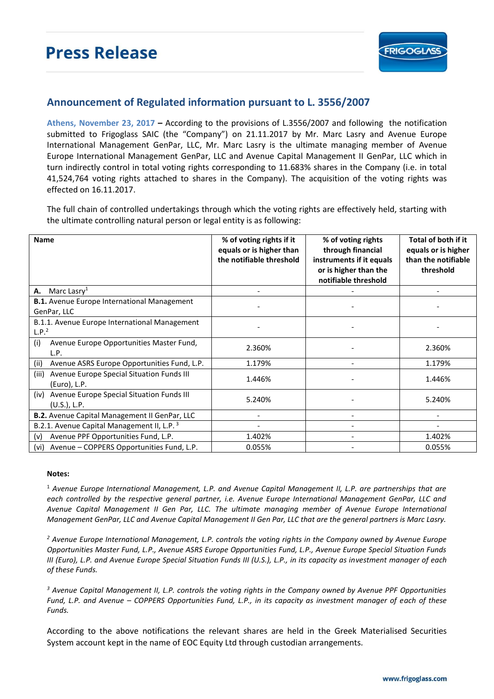

## **Announcement of Regulated information pursuant to L. 3556/2007**

**Athens, November 23, 2017 –** According to the provisions of L.3556/2007 and following the notification submitted to Frigoglass SAIC (the "Company") on 21.11.2017 by Mr. Marc Lasry and Avenue Europe International Management GenPar, LLC, Mr. Marc Lasry is the ultimate managing member of Avenue Europe International Management GenPar, LLC and Avenue Capital Management II GenPar, LLC which in turn indirectly control in total voting rights corresponding to 11.683% shares in the Company (i.e. in total 41,524,764 voting rights attached to shares in the Company). The acquisition of the voting rights was effected on 16.11.2017.

The full chain of controlled undertakings through which the voting rights are effectively held, starting with the ultimate controlling natural person or legal entity is as following:

| <b>Name</b>                                                          | % of voting rights if it<br>equals or is higher than<br>the notifiable threshold | % of voting rights<br>through financial<br>instruments if it equals<br>or is higher than the<br>notifiable threshold | Total of both if it<br>equals or is higher<br>than the notifiable<br>threshold |
|----------------------------------------------------------------------|----------------------------------------------------------------------------------|----------------------------------------------------------------------------------------------------------------------|--------------------------------------------------------------------------------|
| Marc Lasry <sup>1</sup><br>А.                                        |                                                                                  |                                                                                                                      |                                                                                |
| <b>B.1.</b> Avenue Europe International Management<br>GenPar, LLC    |                                                                                  |                                                                                                                      |                                                                                |
| B.1.1. Avenue Europe International Management<br>L.P. <sup>2</sup>   |                                                                                  |                                                                                                                      |                                                                                |
| (i)<br>Avenue Europe Opportunities Master Fund,<br>L.P.              | 2.360%                                                                           |                                                                                                                      | 2.360%                                                                         |
| Avenue ASRS Europe Opportunities Fund, L.P.<br>(ii)                  | 1.179%                                                                           |                                                                                                                      | 1.179%                                                                         |
| Avenue Europe Special Situation Funds III<br>(iii)<br>(Euro), L.P.   | 1.446%                                                                           |                                                                                                                      | 1.446%                                                                         |
| Avenue Europe Special Situation Funds III<br>(iv)<br>$(U.S.)$ , L.P. | 5.240%                                                                           |                                                                                                                      | 5.240%                                                                         |
| B.2. Avenue Capital Management II GenPar, LLC                        |                                                                                  |                                                                                                                      |                                                                                |
| B.2.1. Avenue Capital Management II, L.P. <sup>3</sup>               |                                                                                  |                                                                                                                      |                                                                                |
| Avenue PPF Opportunities Fund, L.P.<br>(v)                           | 1.402%                                                                           |                                                                                                                      | 1.402%                                                                         |
| Avenue – COPPERS Opportunities Fund, L.P.<br>(vi)                    | 0.055%                                                                           | $\overline{\phantom{0}}$                                                                                             | 0.055%                                                                         |

## **Notes:**

<sup>1</sup> *Avenue Europe International Management, L.P. and Avenue Capital Management II, L.P. are partnerships that are each controlled by the respective general partner, i.e. Avenue Europe International Management GenPar, LLC and Avenue Capital Management II Gen Par, LLC. The ultimate managing member of Avenue Europe International Management GenPar, LLC and Avenue Capital Management II Gen Par, LLC that are the general partners is Marc Lasry.* 

*<sup>2</sup> Avenue Europe International Management, L.P. controls the voting rights in the Company owned by Avenue Europe Opportunities Master Fund, L.P., Avenue ASRS Europe Opportunities Fund, L.P., Avenue Europe Special Situation Funds III (Euro), L.P. and Avenue Europe Special Situation Funds III (U.S.), L.P., in its capacity as investment manager of each of these Funds.* 

*<sup>3</sup> Avenue Capital Management II, L.P. controls the voting rights in the Company owned by Avenue PPF Opportunities Fund, L.P. and Avenue – COPPERS Opportunities Fund, L.P., in its capacity as investment manager of each of these Funds.* 

According to the above notifications the relevant shares are held in the Greek Materialised Securities System account kept in the name of EOC Equity Ltd through custodian arrangements.